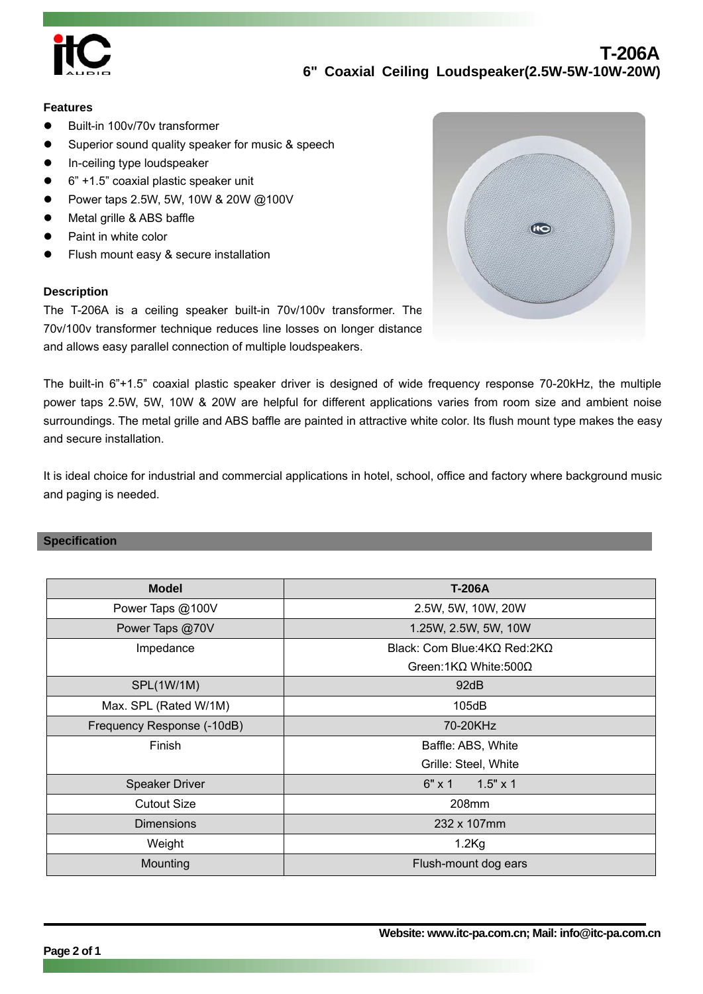

# **T-206A 6" Coaxial Ceiling Loudspeaker(2.5W-5W-10W-20W)**

#### **Features**

- Built-in 100v/70v transformer
- Superior sound quality speaker for music & speech
- In-ceiling type loudspeaker
- z 6" +1.5" coaxial plastic speaker unit
- Power taps 2.5W, 5W, 10W & 20W @100V
- Metal grille & ABS baffle
- Paint in white color
- Flush mount easy & secure installation

#### **Description**

The T-206A is a ceiling speaker built-in 70v/100v transformer. The 70v/100v transformer technique reduces line losses on longer distance and allows easy parallel connection of multiple loudspeakers.



The built-in 6"+1.5" coaxial plastic speaker driver is designed of wide frequency response 70-20kHz, the multiple power taps 2.5W, 5W, 10W & 20W are helpful for different applications varies from room size and ambient noise surroundings. The metal grille and ABS baffle are painted in attractive white color. Its flush mount type makes the easy and secure installation.

It is ideal choice for industrial and commercial applications in hotel, school, office and factory where background music and paging is needed.

# **Specification**

| <b>Model</b>               | <b>T-206A</b>                         |
|----------------------------|---------------------------------------|
| Power Taps @100V           | 2.5W, 5W, 10W, 20W                    |
| Power Taps @70V            | 1.25W, 2.5W, 5W, 10W                  |
| Impedance                  | Black: Com Blue:4KΩ Red:2KΩ           |
|                            | Green: $1K\Omega$ White: 500 $\Omega$ |
| SPL(1W/1M)                 | 92dB                                  |
| Max. SPL (Rated W/1M)      | 105dB                                 |
| Frequency Response (-10dB) | 70-20KHz                              |
| Finish                     | Baffle: ABS, White                    |
|                            | Grille: Steel, White                  |
| <b>Speaker Driver</b>      | $6" \times 1$ 1.5" $\times 1$         |
| <b>Cutout Size</b>         | 208mm                                 |
| <b>Dimensions</b>          | 232 x 107mm                           |
| Weight                     | $1.2$ Kg                              |
| Mounting                   | Flush-mount dog ears                  |